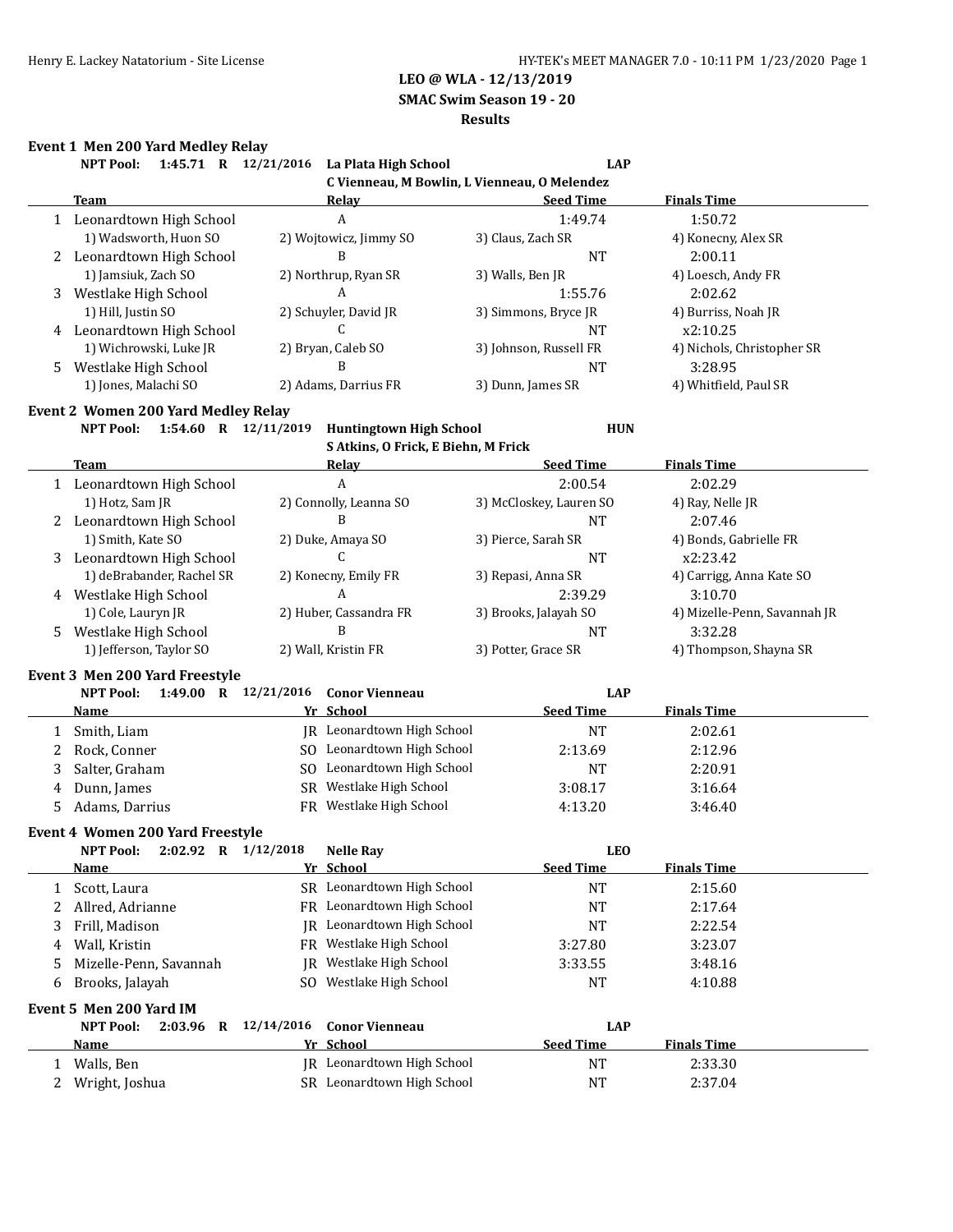**SMAC Swim Season 19 - 20**

#### **Results**

# **Event 1 Men 200 Yard Medley Relay**

|              | NPT Pool: 1:45.71 R 12/21/2016 La Plata High School |                        |                                                       | <b>LAP</b>              |                              |
|--------------|-----------------------------------------------------|------------------------|-------------------------------------------------------|-------------------------|------------------------------|
|              |                                                     |                        | C Vienneau, M Bowlin, L Vienneau, O Melendez<br>Relav |                         |                              |
|              | <b>Team</b>                                         |                        | A                                                     | <b>Seed Time</b>        | <b>Finals Time</b>           |
|              | 1 Leonardtown High School                           |                        |                                                       | 1:49.74                 | 1:50.72                      |
|              | 1) Wadsworth, Huon SO                               |                        | 2) Wojtowicz, Jimmy SO<br>B                           | 3) Claus, Zach SR       | 4) Konecny, Alex SR          |
|              | 2 Leonardtown High School                           |                        |                                                       | <b>NT</b>               | 2:00.11                      |
|              | 1) Jamsiuk, Zach SO                                 |                        | 2) Northrup, Ryan SR                                  | 3) Walls, Ben JR        | 4) Loesch, Andy FR           |
| 3            | Westlake High School                                |                        | A                                                     | 1:55.76                 | 2:02.62                      |
|              | 1) Hill, Justin SO                                  |                        | 2) Schuyler, David JR                                 | 3) Simmons, Bryce JR    | 4) Burriss, Noah JR          |
|              | 4 Leonardtown High School                           |                        | C                                                     | NT                      | x2:10.25                     |
|              | 1) Wichrowski, Luke JR                              |                        | 2) Bryan, Caleb SO                                    | 3) Johnson, Russell FR  | 4) Nichols, Christopher SR   |
| 5            | Westlake High School                                |                        | B                                                     | <b>NT</b>               | 3:28.95                      |
|              | 1) Jones, Malachi SO                                |                        | 2) Adams, Darrius FR                                  | 3) Dunn, James SR       | 4) Whitfield, Paul SR        |
|              | Event 2 Women 200 Yard Medley Relay                 |                        |                                                       |                         |                              |
|              | 1:54.60 R 12/11/2019<br>NPT Pool:                   |                        | <b>Huntingtown High School</b>                        | <b>HUN</b>              |                              |
|              |                                                     |                        | S Atkins, O Frick, E Biehn, M Frick                   |                         |                              |
|              | <b>Team</b>                                         |                        | <b>Relay</b>                                          | <b>Seed Time</b>        | <b>Finals Time</b>           |
|              | 1 Leonardtown High School                           |                        | A                                                     | 2:00.54                 | 2:02.29                      |
|              | 1) Hotz, Sam JR                                     |                        | 2) Connolly, Leanna SO                                | 3) McCloskey, Lauren SO | 4) Ray, Nelle JR             |
|              | 2 Leonardtown High School                           |                        | B                                                     | <b>NT</b>               | 2:07.46                      |
|              | 1) Smith, Kate SO                                   |                        | 2) Duke, Amaya SO                                     | 3) Pierce, Sarah SR     | 4) Bonds, Gabrielle FR       |
|              | 3 Leonardtown High School                           |                        | C                                                     | <b>NT</b>               | x2:23.42                     |
|              | 1) deBrabander, Rachel SR                           |                        | 2) Konecny, Emily FR                                  | 3) Repasi, Anna SR      | 4) Carrigg, Anna Kate SO     |
|              | 4 Westlake High School                              | A                      |                                                       | 2:39.29                 | 3:10.70                      |
|              | 1) Cole, Lauryn JR                                  | 2) Huber, Cassandra FR |                                                       | 3) Brooks, Jalayah SO   | 4) Mizelle-Penn, Savannah JR |
| 5            | Westlake High School                                |                        | B                                                     | <b>NT</b>               | 3:32.28                      |
|              | 1) Jefferson, Taylor SO                             |                        | 2) Wall, Kristin FR                                   | 3) Potter, Grace SR     | 4) Thompson, Shayna SR       |
|              | <b>Event 3 Men 200 Yard Freestyle</b>               |                        |                                                       |                         |                              |
|              | 1:49.00 R 12/21/2016<br><b>NPT Pool:</b>            |                        | <b>Conor Vienneau</b>                                 | <b>LAP</b>              |                              |
|              | <b>Name</b>                                         |                        | Yr School                                             | <b>Seed Time</b>        | <b>Finals Time</b>           |
| 1            | Smith, Liam                                         |                        | JR Leonardtown High School                            | <b>NT</b>               | 2:02.61                      |
| 2            | Rock, Conner                                        |                        | SO Leonardtown High School                            | 2:13.69                 | 2:12.96                      |
| 3            | Salter, Graham                                      |                        | SO Leonardtown High School                            | <b>NT</b>               | 2:20.91                      |
| 4            | Dunn, James                                         |                        | SR Westlake High School                               | 3:08.17                 | 3:16.64                      |
| 5            | Adams, Darrius                                      |                        | FR Westlake High School                               | 4:13.20                 | 3:46.40                      |
|              |                                                     |                        |                                                       |                         |                              |
|              | <b>Event 4 Women 200 Yard Freestyle</b>             |                        |                                                       |                         |                              |
|              | 2:02.92 R 1/12/2018<br>NPT Pool:                    |                        | <b>Nelle Ray</b>                                      | <b>LEO</b>              |                              |
|              | <u>Name</u>                                         |                        | Yr School                                             | <b>Seed Time</b>        | <b>Finals Time</b>           |
| 1            | Scott, Laura                                        |                        | SR Leonardtown High School                            | <b>NT</b>               | 2:15.60                      |
| 2            | Allred, Adrianne                                    |                        | FR Leonardtown High School                            | <b>NT</b>               | 2:17.64                      |
| 3            | Frill, Madison                                      |                        | JR Leonardtown High School                            | <b>NT</b>               | 2:22.54                      |
| 4            | Wall, Kristin                                       |                        | FR Westlake High School                               | 3:27.80                 | 3:23.07                      |
| 5            | Mizelle-Penn, Savannah                              | IR                     | Westlake High School                                  | 3:33.55                 | 3:48.16                      |
| 6            | Brooks, Jalayah                                     | SO.                    | Westlake High School                                  | <b>NT</b>               | 4:10.88                      |
|              | Event 5 Men 200 Yard IM                             |                        |                                                       |                         |                              |
|              | <b>NPT Pool:</b><br>$2:03.96$ R                     | 12/14/2016             | <b>Conor Vienneau</b>                                 | <b>LAP</b>              |                              |
|              | Name                                                |                        | Yr School                                             | <b>Seed Time</b>        | <b>Finals Time</b>           |
| $\mathbf{1}$ | Walls, Ben                                          |                        | JR Leonardtown High School                            | <b>NT</b>               | 2:33.30                      |
|              |                                                     |                        |                                                       |                         |                              |
| 2            | Wright, Joshua                                      |                        | SR Leonardtown High School                            | <b>NT</b>               | 2:37.04                      |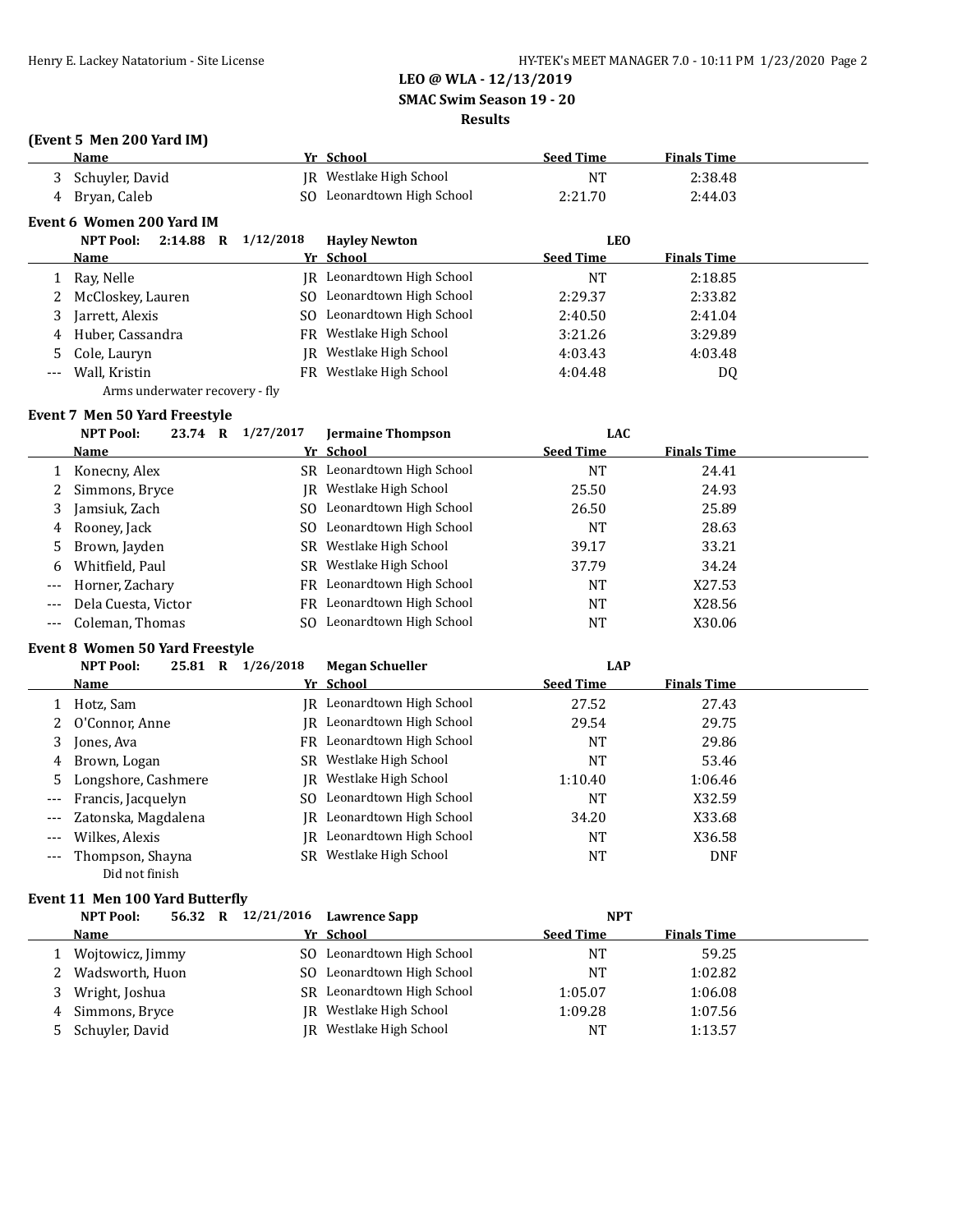**SMAC Swim Season 19 - 20**

## **Results**

# **(Event 5 Men 200 Yard IM)**

|   | Name                             |           | Yr School                  | <b>Seed Time</b> | <b>Finals Time</b> |  |
|---|----------------------------------|-----------|----------------------------|------------------|--------------------|--|
|   | 3 Schuyler, David                |           | IR Westlake High School    | NT               | 2:38.48            |  |
| 4 | Brvan, Caleb                     |           | SO Leonardtown High School | 2:21.70          | 2:44.03            |  |
|   | Event 6 Women 200 Yard IM        |           |                            |                  |                    |  |
|   | 2:14.88<br><b>NPT Pool:</b><br>R | 1/12/2018 | <b>Havley Newton</b>       | LEO              |                    |  |

|       | <b>Name</b>         | Yr School                  | <b>Seed Time</b> | <b>Finals Time</b> |
|-------|---------------------|----------------------------|------------------|--------------------|
|       | Ray, Nelle          | JR Leonardtown High School | NT               | 2:18.85            |
|       | 2 McCloskey, Lauren | SO Leonardtown High School | 2:29.37          | 2:33.82            |
|       | Jarrett, Alexis     | SO Leonardtown High School | 2:40.50          | 2:41.04            |
| 4     | Huber, Cassandra    | FR Westlake High School    | 3:21.26          | 3:29.89            |
|       | 5 Cole, Lauryn      | JR Westlake High School    | 4:03.43          | 4:03.48            |
| $---$ | Wall, Kristin       | FR Westlake High School    | 4:04.48          | DQ                 |
|       |                     |                            |                  |                    |

Arms underwater recovery - fly

### **Event 7 Men 50 Yard Freestyle**

|          | <b>NPT Pool:</b>    | 23.74 | $\mathbf R$ | 1/27/2017 | <b>Jermaine Thompson</b>   | LAC              |                    |  |
|----------|---------------------|-------|-------------|-----------|----------------------------|------------------|--------------------|--|
|          | Name                |       |             |           | Yr School                  | <b>Seed Time</b> | <b>Finals Time</b> |  |
|          | Konecny, Alex       |       |             |           | SR Leonardtown High School | NT               | 24.41              |  |
| 2        | Simmons, Bryce      |       |             |           | IR Westlake High School    | 25.50            | 24.93              |  |
| 3        | Jamsiuk, Zach       |       |             |           | SO Leonardtown High School | 26.50            | 25.89              |  |
| 4        | Rooney, Jack        |       |             |           | SO Leonardtown High School | NT               | 28.63              |  |
| 5.       | Brown, Jayden       |       |             |           | SR Westlake High School    | 39.17            | 33.21              |  |
| 6        | Whitfield, Paul     |       |             |           | SR Westlake High School    | 37.79            | 34.24              |  |
| $\cdots$ | Horner, Zachary     |       |             |           | FR Leonardtown High School | NT               | X27.53             |  |
| $---$    | Dela Cuesta, Victor |       |             | FR        | Leonardtown High School    | NT               | X28.56             |  |
|          | --- Coleman, Thomas |       |             |           | SO Leonardtown High School | NT               | X30.06             |  |

#### **Event 8 Women 50 Yard Freestyle**

|       | <b>NPT Pool:</b><br>25.81<br>R     | 1/26/2018 | <b>Megan Schueller</b>            | <b>LAP</b>       |                    |  |
|-------|------------------------------------|-----------|-----------------------------------|------------------|--------------------|--|
|       | <b>Name</b>                        |           | Yr School                         | <b>Seed Time</b> | <b>Finals Time</b> |  |
|       | Hotz, Sam                          |           | IR Leonardtown High School        | 27.52            | 27.43              |  |
|       | 2 O'Connor, Anne                   |           | IR Leonardtown High School        | 29.54            | 29.75              |  |
| 3     | Jones, Ava                         |           | FR Leonardtown High School        | <b>NT</b>        | 29.86              |  |
|       | 4 Brown, Logan                     |           | SR Westlake High School           | NT               | 53.46              |  |
|       | 5 Longshore, Cashmere              |           | IR Westlake High School           | 1:10.40          | 1:06.46            |  |
| $---$ | Francis, Jacquelyn                 |           | SO Leonardtown High School        | NT               | X32.59             |  |
| $---$ | Zatonska, Magdalena                |           | IR Leonardtown High School        | 34.20            | X33.68             |  |
|       | Wilkes, Alexis                     |           | <b>IR</b> Leonardtown High School | NT               | X36.58             |  |
|       | Thompson, Shayna<br>Did not finish | SR.       | Westlake High School              | NT               | <b>DNF</b>         |  |

# **Event 11 Men 100 Yard Butterfly**

|   | <b>NPT Pool:</b><br>56.32 R |     | $12/21/2016$ Lawrence Sapp | NPT              |                    |  |
|---|-----------------------------|-----|----------------------------|------------------|--------------------|--|
|   | <b>Name</b>                 |     | Yr School                  | <b>Seed Time</b> | <b>Finals Time</b> |  |
|   | Wojtowicz, Jimmy            |     | SO Leonardtown High School | NΤ               | 59.25              |  |
|   | 2 Wadsworth, Huon           | SO. | Leonardtown High School    | <b>NT</b>        | 1:02.82            |  |
| 3 | Wright, Joshua              |     | SR Leonardtown High School | 1:05.07          | 1:06.08            |  |
|   | 4 Simmons, Bryce            | IR. | Westlake High School       | 1:09.28          | 1:07.56            |  |
|   | 5 Schuyler, David           | IR- | Westlake High School       | NT               | 1:13.57            |  |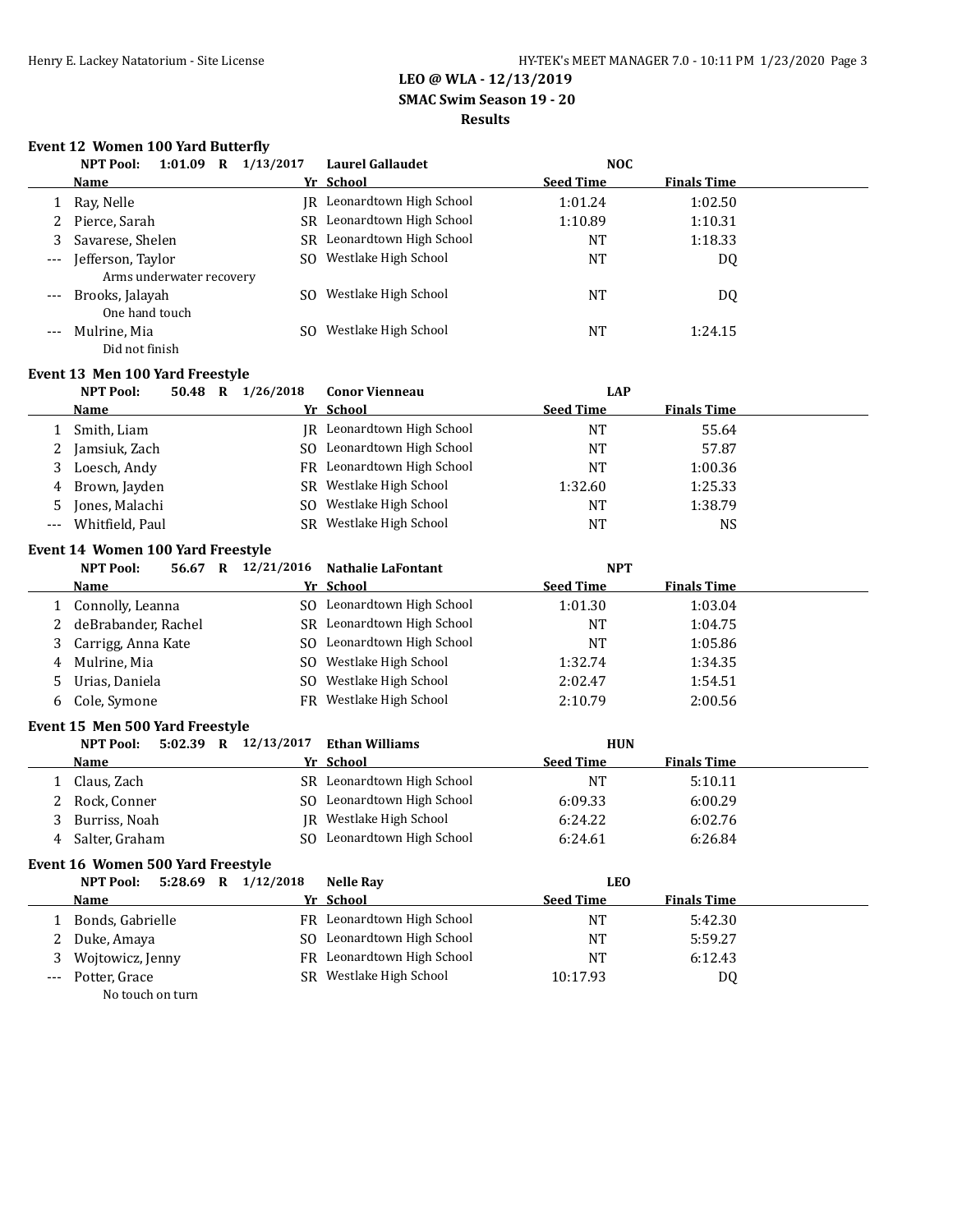**SMAC Swim Season 19 - 20**

# **Results**

## **Event 12 Women 100 Yard Butterfly**

|                                          | 1:01.09<br>NPT Pool:<br>R | 1/13/2017 | <b>Laurel Gallaudet</b>    | <b>NOC</b>       |                    |  |
|------------------------------------------|---------------------------|-----------|----------------------------|------------------|--------------------|--|
|                                          | <b>Name</b>               |           | Yr School                  | <b>Seed Time</b> | <b>Finals Time</b> |  |
|                                          | Ray, Nelle                |           | IR Leonardtown High School | 1:01.24          | 1:02.50            |  |
| 2                                        | Pierce, Sarah             | SR.       | Leonardtown High School    | 1:10.89          | 1:10.31            |  |
|                                          | Savarese, Shelen          |           | SR Leonardtown High School | NT               | 1:18.33            |  |
| $\hspace{0.05cm} \ldots \hspace{0.05cm}$ | Jefferson, Taylor         |           | SO Westlake High School    | <b>NT</b>        | DQ                 |  |
|                                          | Arms underwater recovery  |           |                            |                  |                    |  |
| $---$                                    | Brooks, Jalayah           | SO.       | Westlake High School       | NT               | DQ                 |  |
|                                          | One hand touch            |           |                            |                  |                    |  |
|                                          | Mulrine, Mia              | SΩ        | Westlake High School       | <b>NT</b>        | 1:24.15            |  |
|                                          | Did not finish            |           |                            |                  |                    |  |

#### **Event 13 Men 100 Yard Freestyle**

|       | <b>NPT Pool:</b> | 50.48 | R | 1/26/2018 | <b>Conor Vienneau</b>      | <b>LAP</b>       |                    |  |
|-------|------------------|-------|---|-----------|----------------------------|------------------|--------------------|--|
|       | Name             |       |   |           | Yr School                  | <b>Seed Time</b> | <b>Finals Time</b> |  |
|       | Smith, Liam      |       |   |           | IR Leonardtown High School | <b>NT</b>        | 55.64              |  |
|       | 2 Jamsiuk, Zach  |       |   | SO.       | Leonardtown High School    | <b>NT</b>        | 57.87              |  |
|       | 3 Loesch, Andy   |       |   |           | FR Leonardtown High School | NT               | 1:00.36            |  |
|       | 4 Brown, Jayden  |       |   |           | SR Westlake High School    | 1:32.60          | 1:25.33            |  |
| 5     | Jones, Malachi   |       |   | SO.       | Westlake High School       | <b>NT</b>        | 1:38.79            |  |
| $---$ | Whitfield, Paul  |       |   | SR.       | Westlake High School       | NT               | <b>NS</b>          |  |

#### **Event 14 Women 100 Yard Freestyle**

|    | <b>NPT Pool:</b><br>R<br>56.67 | 12/21/2016<br>Nathalie LaFontant | <b>NPT</b>                             |  |
|----|--------------------------------|----------------------------------|----------------------------------------|--|
|    | Name                           | Yr School                        | <b>Seed Time</b><br><b>Finals Time</b> |  |
|    | Connolly, Leanna               | SO Leonardtown High School       | 1:01.30<br>1:03.04                     |  |
|    | deBrabander, Rachel            | SR Leonardtown High School       | NT<br>1:04.75                          |  |
| 3  | Carrigg, Anna Kate             | SO Leonardtown High School       | 1:05.86<br>NT                          |  |
| 4  | Mulrine, Mia                   | SO Westlake High School          | 1:34.35<br>1:32.74                     |  |
| 5. | Urias, Daniela                 | SO Westlake High School          | 2:02.47<br>1:54.51                     |  |
| b. | Cole, Symone                   | FR Westlake High School          | 2:00.56<br>2:10.79                     |  |

### **Event 15 Men 500 Yard Freestyle**

|   | $5:02.39$ R<br>NPT Pool: | 12/13/2017 | Ethan Williams             | <b>HUN</b>       |                    |  |
|---|--------------------------|------------|----------------------------|------------------|--------------------|--|
|   | <b>Name</b>              |            | Yr School                  | <b>Seed Time</b> | <b>Finals Time</b> |  |
|   | Claus, Zach              |            | SR Leonardtown High School | <b>NT</b>        | 5:10.11            |  |
|   | Rock, Conner             |            | SO Leonardtown High School | 6:09.33          | 6:00.29            |  |
|   | Burriss, Noah            |            | JR Westlake High School    | 6:24.22          | 6:02.76            |  |
| 4 | Salter, Graham           |            | SO Leonardtown High School | 6:24.61          | 6:26.84            |  |

# **Event 16 Women 500 Yard Freestyle**

|   | $5:28.69$ R $1/12/2018$<br><b>NPT Pool:</b> | Nelle Ray                  | LEO              |                    |
|---|---------------------------------------------|----------------------------|------------------|--------------------|
|   | Name                                        | Yr School                  | <b>Seed Time</b> | <b>Finals Time</b> |
|   | Bonds, Gabrielle                            | FR Leonardtown High School | NT               | 5:42.30            |
|   | 2 Duke, Amaya                               | SO Leonardtown High School | NT               | 5:59.27            |
| 3 | Wojtowicz, Jenny                            | FR Leonardtown High School | <b>NT</b>        | 6:12.43            |
|   | --- Potter, Grace                           | SR Westlake High School    | 10:17.93         | DQ                 |
|   | No touch on turn                            |                            |                  |                    |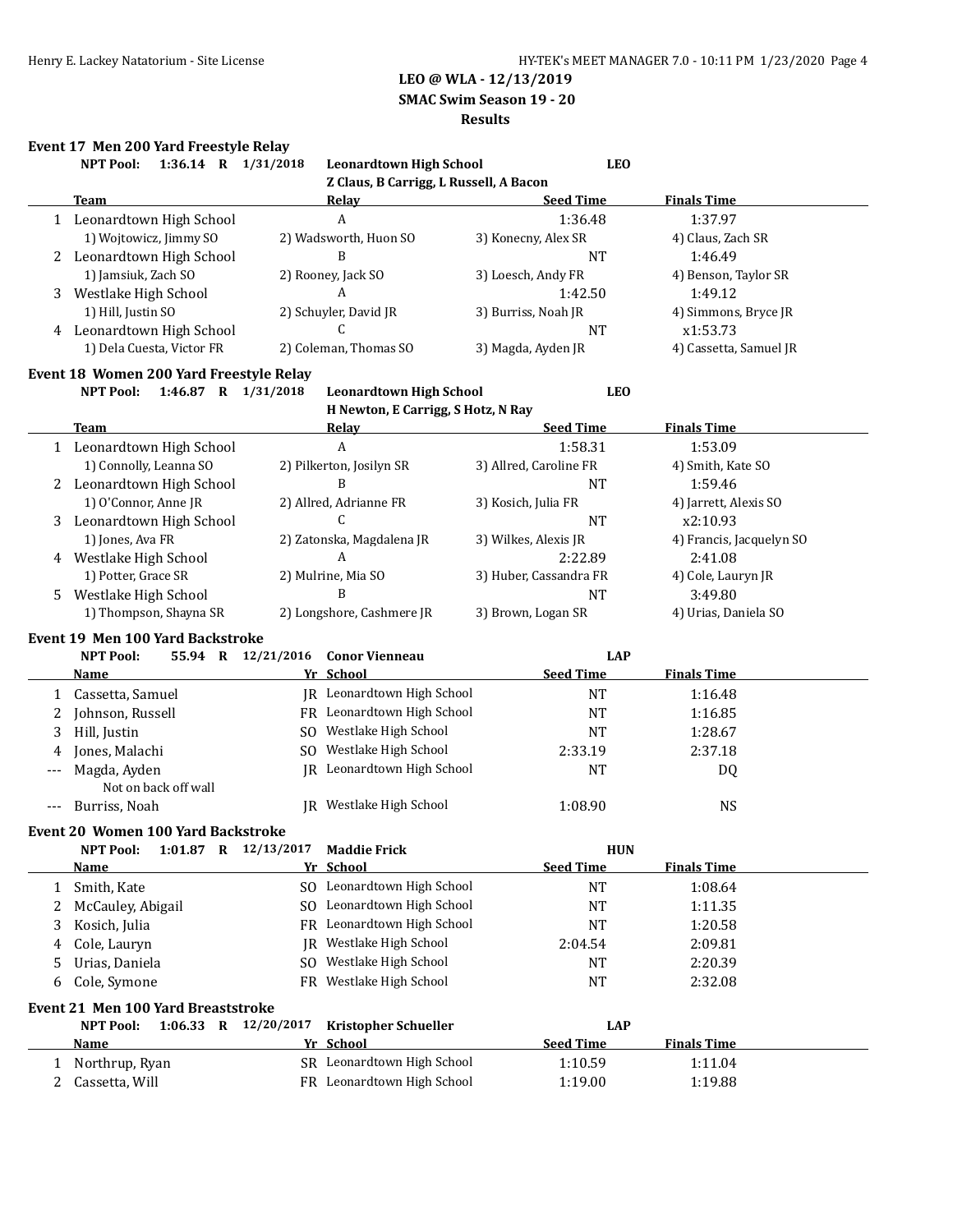**SMAC Swim Season 19 - 20**

#### **Results**

# **Event 17 Men 200 Yard Freestyle Relay**

|        | 1:36.14 R 1/31/2018<br><b>NPT Pool:</b>                 |                    | <b>Leonardtown High School</b>           | <b>LEO</b>                     |                          |
|--------|---------------------------------------------------------|--------------------|------------------------------------------|--------------------------------|--------------------------|
|        |                                                         |                    | Z Claus, B Carrigg, L Russell, A Bacon   |                                |                          |
|        | <b>Team</b>                                             |                    | Relay                                    | <b>Seed Time</b>               | <b>Finals Time</b>       |
|        | 1 Leonardtown High School                               |                    | $\boldsymbol{A}$                         | 1:36.48                        | 1:37.97                  |
|        | 1) Wojtowicz, Jimmy SO                                  |                    | 2) Wadsworth, Huon SO                    | 3) Konecny, Alex SR            | 4) Claus, Zach SR        |
|        | 2 Leonardtown High School                               |                    | B                                        | <b>NT</b>                      | 1:46.49                  |
|        | 1) Jamsiuk, Zach SO                                     |                    | 2) Rooney, Jack SO                       | 3) Loesch, Andy FR             | 4) Benson, Taylor SR     |
| 3      | Westlake High School                                    |                    | A                                        | 1:42.50                        | 1:49.12                  |
|        | 1) Hill, Justin SO                                      |                    | 2) Schuyler, David JR                    | 3) Burriss, Noah JR            | 4) Simmons, Bryce JR     |
|        | 4 Leonardtown High School                               |                    | C                                        | <b>NT</b>                      | x1:53.73                 |
|        | 1) Dela Cuesta, Victor FR                               |                    | 2) Coleman, Thomas SO                    | 3) Magda, Ayden JR             | 4) Cassetta, Samuel JR   |
|        | Event 18 Women 200 Yard Freestyle Relay                 |                    |                                          |                                |                          |
|        | <b>NPT Pool:</b><br>1:46.87 R 1/31/2018                 |                    | <b>Leonardtown High School</b>           | <b>LEO</b>                     |                          |
|        |                                                         |                    | H Newton, E Carrigg, S Hotz, N Ray       |                                |                          |
|        | <b>Team</b>                                             |                    | <b>Relay</b>                             | <b>Seed Time</b>               | <b>Finals Time</b>       |
|        | 1 Leonardtown High School                               |                    | A                                        | 1:58.31                        | 1:53.09                  |
|        | 1) Connolly, Leanna SO                                  |                    | 2) Pilkerton, Josilyn SR                 | 3) Allred, Caroline FR         | 4) Smith, Kate SO        |
|        | 2 Leonardtown High School                               |                    | B                                        | NT                             | 1:59.46                  |
|        | 1) O'Connor, Anne JR                                    |                    | 2) Allred, Adrianne FR                   | 3) Kosich, Julia FR            | 4) Jarrett, Alexis SO    |
| 3      | Leonardtown High School                                 |                    | $\mathcal{C}$                            | <b>NT</b>                      | x2:10.93                 |
|        | 1) Jones, Ava FR                                        |                    | 2) Zatonska, Magdalena JR                | 3) Wilkes, Alexis JR           | 4) Francis, Jacquelyn SO |
| 4      | Westlake High School                                    |                    | A                                        | 2:22.89                        | 2:41.08                  |
|        | 1) Potter, Grace SR                                     |                    | 2) Mulrine, Mia SO                       | 3) Huber, Cassandra FR         | 4) Cole, Lauryn JR       |
| 5.     | Westlake High School                                    |                    | B                                        | NT                             | 3:49.80                  |
|        | 1) Thompson, Shayna SR                                  |                    | 2) Longshore, Cashmere JR                | 3) Brown, Logan SR             | 4) Urias, Daniela SO     |
|        | <b>Event 19 Men 100 Yard Backstroke</b>                 |                    |                                          |                                |                          |
|        | <b>NPT Pool:</b>                                        | 55.94 R 12/21/2016 | <b>Conor Vienneau</b>                    | <b>LAP</b>                     |                          |
|        | <b>Name</b>                                             |                    | Yr School                                | <b>Seed Time</b>               | <b>Finals Time</b>       |
| 1      | Cassetta, Samuel                                        |                    | JR Leonardtown High School               | <b>NT</b>                      | 1:16.48                  |
| 2      | Johnson, Russell                                        |                    | FR Leonardtown High School               | <b>NT</b>                      | 1:16.85                  |
| 3      | Hill, Justin                                            |                    | SO Westlake High School                  | <b>NT</b>                      | 1:28.67                  |
| 4      | Jones, Malachi                                          |                    | SO Westlake High School                  | 2:33.19                        | 2:37.18                  |
| ---    | Magda, Ayden                                            |                    | IR Leonardtown High School               | <b>NT</b>                      | DQ                       |
|        | Not on back off wall                                    |                    |                                          |                                |                          |
| ---    | Burriss, Noah                                           |                    | JR Westlake High School                  | 1:08.90                        | <b>NS</b>                |
|        | <b>Event 20 Women 100 Yard Backstroke</b>               |                    |                                          |                                |                          |
|        | NPT Pool: 1:01.87 R 12/13/2017                          |                    | <b>Maddie Frick</b>                      | <b>HUN</b>                     |                          |
|        | <b>Name</b>                                             |                    | Yr School                                | <b>Seed Time</b>               | <b>Finals Time</b>       |
| 1      | Smith, Kate                                             |                    | SO Leonardtown High School               | <b>NT</b>                      | 1:08.64                  |
| 2      | McCauley, Abigail                                       |                    | SO Leonardtown High School               | <b>NT</b>                      | 1:11.35                  |
| 3      | Kosich, Julia                                           |                    | FR Leonardtown High School               | <b>NT</b>                      | 1:20.58                  |
| 4      | Cole, Lauryn                                            |                    | JR Westlake High School                  | 2:04.54                        | 2:09.81                  |
| 5      | Urias, Daniela                                          | SO.                | Westlake High School                     | <b>NT</b>                      | 2:20.39                  |
| 6      | Cole, Symone                                            |                    | FR Westlake High School                  | NT                             | 2:32.08                  |
|        |                                                         |                    |                                          |                                |                          |
|        | <b>Event 21 Men 100 Yard Breaststroke</b>               |                    |                                          |                                |                          |
|        | <b>NPT Pool:</b><br>1:06.33 R 12/20/2017<br><b>Name</b> |                    | <b>Kristopher Schueller</b><br>Yr School | <b>LAP</b><br><b>Seed Time</b> | <b>Finals Time</b>       |
|        | Northrup, Ryan                                          |                    | SR Leonardtown High School               | 1:10.59                        | 1:11.04                  |
| 1<br>2 | Cassetta, Will                                          |                    | FR Leonardtown High School               | 1:19.00                        | 1:19.88                  |
|        |                                                         |                    |                                          |                                |                          |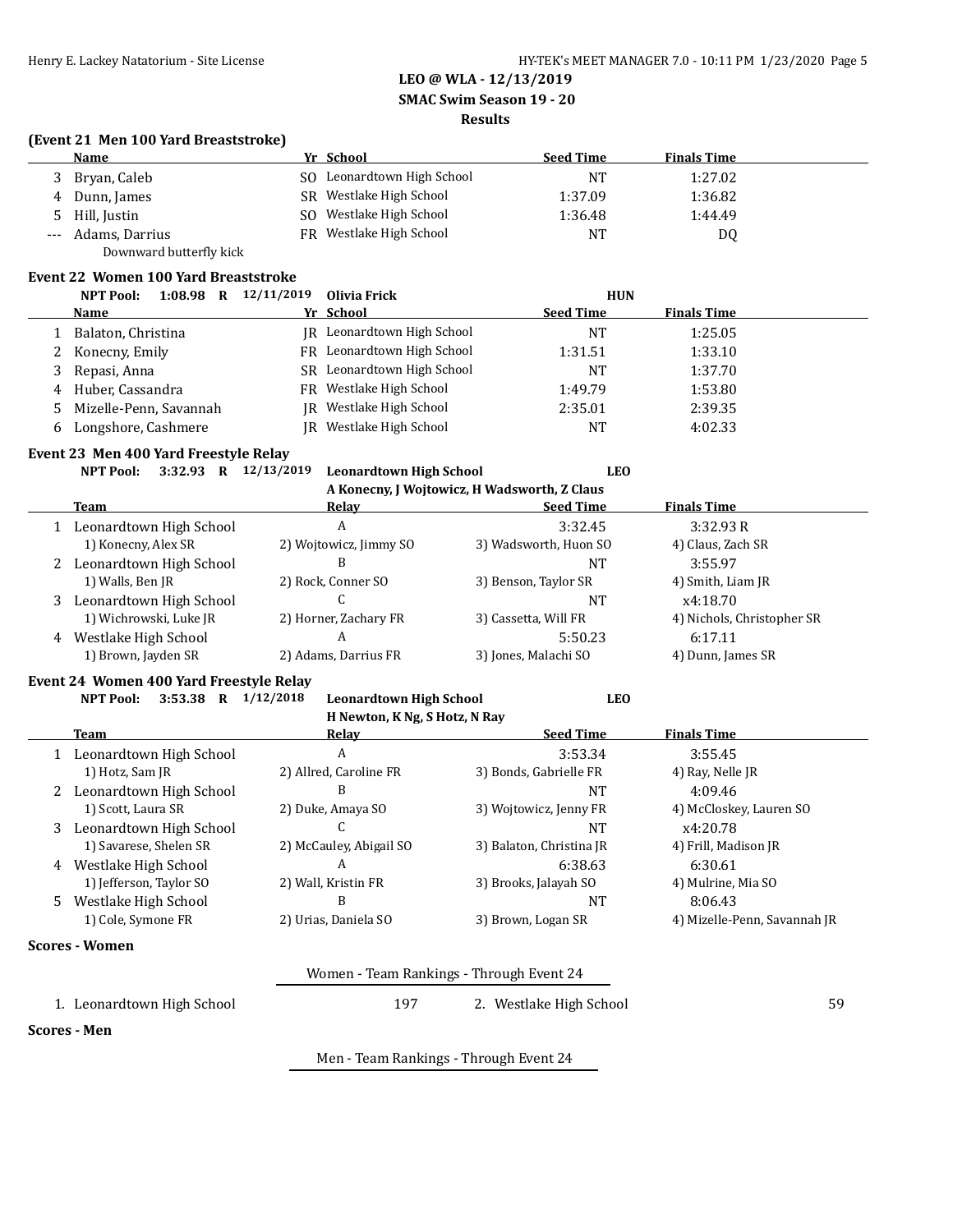**SMAC Swim Season 19 - 20**

#### **Results**

#### **(Event 21 Men 100 Yard Breaststroke)**

|                     | <b>Name</b>             |     | Yr School                  | <b>Seed Time</b> | <b>Finals Time</b> |
|---------------------|-------------------------|-----|----------------------------|------------------|--------------------|
|                     | Bryan, Caleb            |     | SO Leonardtown High School | NΤ               | 1:27.02            |
| 4                   | Dunn, James             | SR. | Westlake High School       | 1:37.09          | 1:36.82            |
|                     | Hill, Justin            | SO. | Westlake High School       | 1:36.48          | 1:44.49            |
| $\qquad \qquad - -$ | Adams, Darrius          | FR  | Westlake High School       | <b>NT</b>        | DQ                 |
|                     | Downward butterfly kick |     |                            |                  |                    |

#### **Event 22 Women 100 Yard Breaststroke**

|    | 12/11/2019<br>1:08.98<br><b>NPT Pool:</b><br>R |           | Olivia Frick                      | <b>HUN</b>       |                    |  |
|----|------------------------------------------------|-----------|-----------------------------------|------------------|--------------------|--|
|    | <b>Name</b>                                    | Yr School |                                   | <b>Seed Time</b> | <b>Finals Time</b> |  |
|    | Balaton, Christina                             |           | <b>IR</b> Leonardtown High School | NT               | 1:25.05            |  |
| 2  | Konecny, Emily                                 |           | FR Leonardtown High School        | 1:31.51          | 1:33.10            |  |
| 3  | Repasi, Anna                                   |           | SR Leonardtown High School        | NT               | 1:37.70            |  |
| 4  | Huber, Cassandra                               |           | FR Westlake High School           | 1:49.79          | 1:53.80            |  |
| 5. | Mizelle-Penn, Savannah                         |           | JR Westlake High School           | 2:35.01          | 2:39.35            |  |
| 6  | Longshore, Cashmere                            |           | JR Westlake High School           | NΤ               | 4:02.33            |  |

# **Event 23 Men 400 Yard Freestyle Relay**

|  |  | NPT Pool: 3:32.93 R 12/13/2019 Leonardtown High School | LEO |
|--|--|--------------------------------------------------------|-----|
|  |  | A Venesur Lilleiterries H Wedswerth 7 Claus            |     |

|   | A ROHECHY, I WOJLOWICZ, H WAUSWOI III, Z CIAUS |                        |                       |                            |  |  |  |
|---|------------------------------------------------|------------------------|-----------------------|----------------------------|--|--|--|
|   | Team                                           | Relay                  | <b>Seed Time</b>      | <b>Finals Time</b>         |  |  |  |
|   | Leonardtown High School                        | A                      | 3:32.45               | 3:32.93R                   |  |  |  |
|   | 1) Konecny, Alex SR                            | 2) Wojtowicz, Jimmy SO | 3) Wadsworth, Huon SO | 4) Claus, Zach SR          |  |  |  |
|   | 2 Leonardtown High School                      | В                      | NΤ                    | 3:55.97                    |  |  |  |
|   | 1) Walls, Ben JR                               | 2) Rock, Conner SO     | 3) Benson, Taylor SR  | 4) Smith, Liam JR          |  |  |  |
| 3 | Leonardtown High School                        |                        | NΤ                    | x4:18.70                   |  |  |  |
|   | 1) Wichrowski, Luke JR                         | 2) Horner, Zachary FR  | 3) Cassetta, Will FR  | 4) Nichols, Christopher SR |  |  |  |
|   | 4 Westlake High School                         | A                      | 5:50.23               | 6:17.11                    |  |  |  |
|   | 1) Brown, Jayden SR                            | 2) Adams, Darrius FR   | 3) Jones, Malachi SO  | 4) Dunn, James SR          |  |  |  |
|   |                                                |                        |                       |                            |  |  |  |

#### **Event 24 Women 400 Yard Freestyle Relay**

|                               | <b>NPT Pool:</b><br>3:53.38<br>R         | 1/12/2018<br><b>Leonardtown High School</b> | <b>LEO</b>               |                              |  |  |  |
|-------------------------------|------------------------------------------|---------------------------------------------|--------------------------|------------------------------|--|--|--|
| H Newton, K Ng, S Hotz, N Ray |                                          |                                             |                          |                              |  |  |  |
|                               | Team                                     | Relav                                       | <b>Seed Time</b>         | <b>Finals Time</b>           |  |  |  |
|                               | Leonardtown High School                  | A                                           | 3:53.34                  | 3:55.45                      |  |  |  |
|                               | 1) Hotz, Sam JR                          | 2) Allred, Caroline FR                      | 3) Bonds, Gabrielle FR   | 4) Ray, Nelle JR             |  |  |  |
|                               | Leonardtown High School                  | B                                           | <b>NT</b>                | 4:09.46                      |  |  |  |
|                               | 1) Scott, Laura SR                       | 2) Duke, Amaya SO                           | 3) Wojtowicz, Jenny FR   | 4) McCloskey, Lauren SO      |  |  |  |
| 3                             | Leonardtown High School                  |                                             | NT                       | x4:20.78                     |  |  |  |
|                               | 1) Savarese, Shelen SR                   | 2) McCauley, Abigail SO                     | 3) Balaton, Christina JR | 4) Frill, Madison JR         |  |  |  |
| 4                             | Westlake High School                     | A                                           | 6:38.63                  | 6:30.61                      |  |  |  |
|                               | 1) Jefferson, Taylor SO                  | 2) Wall, Kristin FR                         | 3) Brooks, Jalayah SO    | 4) Mulrine, Mia SO           |  |  |  |
| 5.                            | Westlake High School                     | B                                           | <b>NT</b>                | 8:06.43                      |  |  |  |
|                               | 1) Cole, Symone FR                       | 2) Urias, Daniela SO                        | 3) Brown, Logan SR       | 4) Mizelle-Penn, Savannah JR |  |  |  |
|                               | Scores - Women                           |                                             |                          |                              |  |  |  |
|                               | Women - Team Rankings - Through Event 24 |                                             |                          |                              |  |  |  |
|                               | 1. Leonardtown High School               | 197                                         | 2. Westlake High School  | 59                           |  |  |  |

**Scores - Men**

Men - Team Rankings - Through Event 24